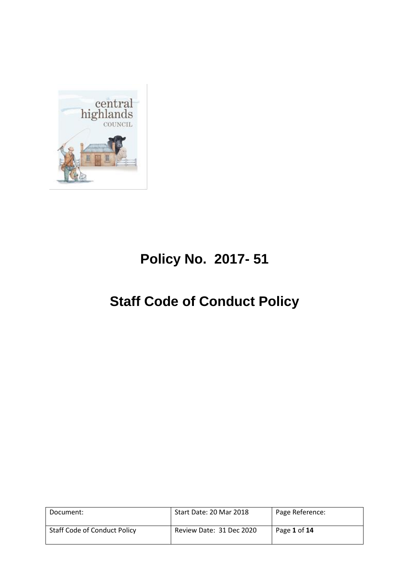

# **Policy No. 2017- 51**

# **Staff Code of Conduct Policy**

| Document:                           | Start Date: 20 Mar 2018  | Page Reference: |
|-------------------------------------|--------------------------|-----------------|
| <b>Staff Code of Conduct Policy</b> | Review Date: 31 Dec 2020 | Page 1 of 14    |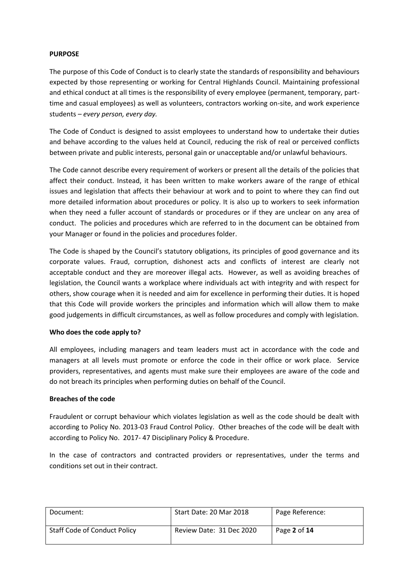#### **PURPOSE**

The purpose of this Code of Conduct is to clearly state the standards of responsibility and behaviours expected by those representing or working for Central Highlands Council. Maintaining professional and ethical conduct at all times is the responsibility of every employee (permanent, temporary, parttime and casual employees) as well as volunteers, contractors working on-site, and work experience students – *every person, every day.* 

The Code of Conduct is designed to assist employees to understand how to undertake their duties and behave according to the values held at Council, reducing the risk of real or perceived conflicts between private and public interests, personal gain or unacceptable and/or unlawful behaviours.

The Code cannot describe every requirement of workers or present all the details of the policies that affect their conduct. Instead, it has been written to make workers aware of the range of ethical issues and legislation that affects their behaviour at work and to point to where they can find out more detailed information about procedures or policy. It is also up to workers to seek information when they need a fuller account of standards or procedures or if they are unclear on any area of conduct. The policies and procedures which are referred to in the document can be obtained from your Manager or found in the policies and procedures folder.

The Code is shaped by the Council's statutory obligations, its principles of good governance and its corporate values. Fraud, corruption, dishonest acts and conflicts of interest are clearly not acceptable conduct and they are moreover illegal acts. However, as well as avoiding breaches of legislation, the Council wants a workplace where individuals act with integrity and with respect for others, show courage when it is needed and aim for excellence in performing their duties. It is hoped that this Code will provide workers the principles and information which will allow them to make good judgements in difficult circumstances, as well as follow procedures and comply with legislation.

#### **Who does the code apply to?**

All employees, including managers and team leaders must act in accordance with the code and managers at all levels must promote or enforce the code in their office or work place. Service providers, representatives, and agents must make sure their employees are aware of the code and do not breach its principles when performing duties on behalf of the Council.

#### **Breaches of the code**

Fraudulent or corrupt behaviour which violates legislation as well as the code should be dealt with according to Policy No. 2013-03 Fraud Control Policy. Other breaches of the code will be dealt with according to Policy No. 2017- 47 Disciplinary Policy & Procedure.

In the case of contractors and contracted providers or representatives, under the terms and conditions set out in their contract.

| Document:                           | Start Date: 20 Mar 2018  | Page Reference: |
|-------------------------------------|--------------------------|-----------------|
| <b>Staff Code of Conduct Policy</b> | Review Date: 31 Dec 2020 | Page 2 of 14    |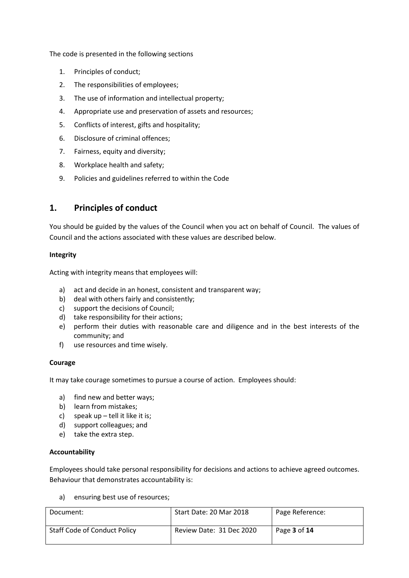The code is presented in the following sections

- 1. Principles of conduct;
- 2. The responsibilities of employees;
- 3. The use of information and intellectual property;
- 4. Appropriate use and preservation of assets and resources;
- 5. Conflicts of interest, gifts and hospitality;
- 6. Disclosure of criminal offences;
- 7. Fairness, equity and diversity;
- 8. Workplace health and safety;
- 9. Policies and guidelines referred to within the Code

## **1. Principles of conduct**

You should be guided by the values of the Council when you act on behalf of Council. The values of Council and the actions associated with these values are described below.

#### **Integrity**

Acting with integrity means that employees will:

- a) act and decide in an honest, consistent and transparent way;
- b) deal with others fairly and consistently;
- c) support the decisions of Council;
- d) take responsibility for their actions;
- e) perform their duties with reasonable care and diligence and in the best interests of the community; and
- f) use resources and time wisely.

#### **Courage**

It may take courage sometimes to pursue a course of action. Employees should:

- a) find new and better ways;
- b) learn from mistakes;
- c) speak up tell it like it is;
- d) support colleagues; and
- e) take the extra step.

#### **Accountability**

Employees should take personal responsibility for decisions and actions to achieve agreed outcomes. Behaviour that demonstrates accountability is:

a) ensuring best use of resources;

| Document:                           | Start Date: 20 Mar 2018  | Page Reference: |
|-------------------------------------|--------------------------|-----------------|
| <b>Staff Code of Conduct Policy</b> | Review Date: 31 Dec 2020 | Page 3 of 14    |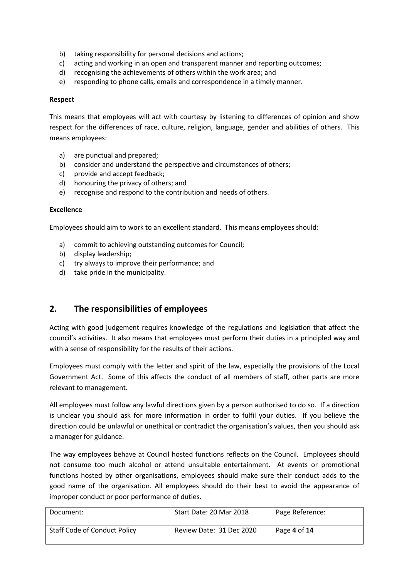- b) taking responsibility for personal decisions and actions;
- c) acting and working in an open and transparent manner and reporting outcomes;
- d) recognising the achievements of others within the work area; and
- e) responding to phone calls, emails and correspondence in a timely manner.

#### **Respect**

This means that employees will act with courtesy by listening to differences of opinion and show respect for the differences of race, culture, religion, language, gender and abilities of others. This means employees:

- a) are punctual and prepared;
- b) consider and understand the perspective and circumstances of others;
- c) provide and accept feedback;
- d) honouring the privacy of others; and
- e) recognise and respond to the contribution and needs of others.

#### **Excellence**

Employees should aim to work to an excellent standard. This means employees should:

- a) commit to achieving outstanding outcomes for Council;
- b) display leadership;
- c) try always to improve their performance; and
- d) take pride in the municipality.

## **2. The responsibilities of employees**

Acting with good judgement requires knowledge of the regulations and legislation that affect the council's activities. It also means that employees must perform their duties in a principled way and with a sense of responsibility for the results of their actions.

Employees must comply with the letter and spirit of the law, especially the provisions of the Local Government Act. Some of this affects the conduct of all members of staff, other parts are more relevant to management.

All employees must follow any lawful directions given by a person authorised to do so. If a direction is unclear you should ask for more information in order to fulfil your duties. If you believe the direction could be unlawful or unethical or contradict the organisation's values, then you should ask a manager for guidance.

The way employees behave at Council hosted functions reflects on the Council. Employees should not consume too much alcohol or attend unsuitable entertainment. At events or promotional functions hosted by other organisations, employees should make sure their conduct adds to the good name of the organisation. All employees should do their best to avoid the appearance of improper conduct or poor performance of duties.

| Document:                           | Start Date: 20 Mar 2018  | Page Reference: |
|-------------------------------------|--------------------------|-----------------|
| <b>Staff Code of Conduct Policy</b> | Review Date: 31 Dec 2020 | Page 4 of 14    |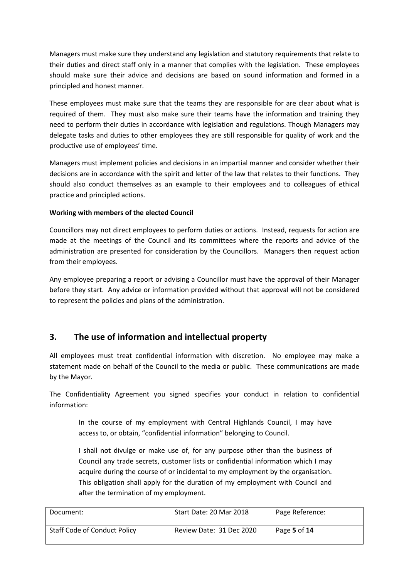Managers must make sure they understand any legislation and statutory requirements that relate to their duties and direct staff only in a manner that complies with the legislation. These employees should make sure their advice and decisions are based on sound information and formed in a principled and honest manner.

These employees must make sure that the teams they are responsible for are clear about what is required of them. They must also make sure their teams have the information and training they need to perform their duties in accordance with legislation and regulations. Though Managers may delegate tasks and duties to other employees they are still responsible for quality of work and the productive use of employees' time.

Managers must implement policies and decisions in an impartial manner and consider whether their decisions are in accordance with the spirit and letter of the law that relates to their functions. They should also conduct themselves as an example to their employees and to colleagues of ethical practice and principled actions.

#### **Working with members of the elected Council**

Councillors may not direct employees to perform duties or actions. Instead, requests for action are made at the meetings of the Council and its committees where the reports and advice of the administration are presented for consideration by the Councillors. Managers then request action from their employees.

Any employee preparing a report or advising a Councillor must have the approval of their Manager before they start. Any advice or information provided without that approval will not be considered to represent the policies and plans of the administration.

# **3. The use of information and intellectual property**

All employees must treat confidential information with discretion. No employee may make a statement made on behalf of the Council to the media or public. These communications are made by the Mayor.

The Confidentiality Agreement you signed specifies your conduct in relation to confidential information:

In the course of my employment with Central Highlands Council, I may have access to, or obtain, "confidential information" belonging to Council.

I shall not divulge or make use of, for any purpose other than the business of Council any trade secrets, customer lists or confidential information which I may acquire during the course of or incidental to my employment by the organisation. This obligation shall apply for the duration of my employment with Council and after the termination of my employment.

| Document:                           | Start Date: 20 Mar 2018  | Page Reference: |
|-------------------------------------|--------------------------|-----------------|
| <b>Staff Code of Conduct Policy</b> | Review Date: 31 Dec 2020 | Page 5 of 14    |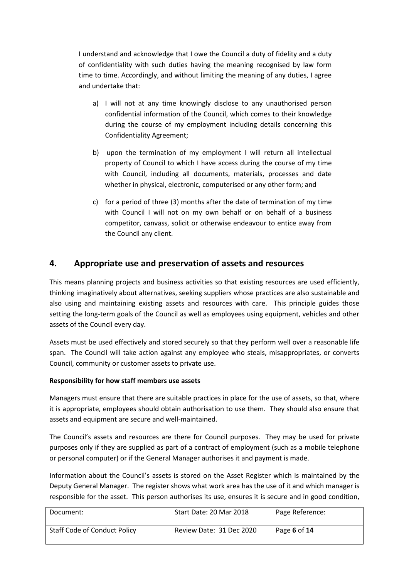I understand and acknowledge that I owe the Council a duty of fidelity and a duty of confidentiality with such duties having the meaning recognised by law form time to time. Accordingly, and without limiting the meaning of any duties, I agree and undertake that:

- a) I will not at any time knowingly disclose to any unauthorised person confidential information of the Council, which comes to their knowledge during the course of my employment including details concerning this Confidentiality Agreement;
- b) upon the termination of my employment I will return all intellectual property of Council to which I have access during the course of my time with Council, including all documents, materials, processes and date whether in physical, electronic, computerised or any other form; and
- c) for a period of three (3) months after the date of termination of my time with Council I will not on my own behalf or on behalf of a business competitor, canvass, solicit or otherwise endeavour to entice away from the Council any client.

## **4. Appropriate use and preservation of assets and resources**

This means planning projects and business activities so that existing resources are used efficiently, thinking imaginatively about alternatives, seeking suppliers whose practices are also sustainable and also using and maintaining existing assets and resources with care. This principle guides those setting the long-term goals of the Council as well as employees using equipment, vehicles and other assets of the Council every day.

Assets must be used effectively and stored securely so that they perform well over a reasonable life span. The Council will take action against any employee who steals, misappropriates, or converts Council, community or customer assets to private use.

#### **Responsibility for how staff members use assets**

Managers must ensure that there are suitable practices in place for the use of assets, so that, where it is appropriate, employees should obtain authorisation to use them. They should also ensure that assets and equipment are secure and well-maintained.

The Council's assets and resources are there for Council purposes. They may be used for private purposes only if they are supplied as part of a contract of employment (such as a mobile telephone or personal computer) or if the General Manager authorises it and payment is made.

Information about the Council's assets is stored on the Asset Register which is maintained by the Deputy General Manager. The register shows what work area has the use of it and which manager is responsible for the asset. This person authorises its use, ensures it is secure and in good condition,

| Document:                           | Start Date: 20 Mar 2018  | Page Reference: |
|-------------------------------------|--------------------------|-----------------|
| <b>Staff Code of Conduct Policy</b> | Review Date: 31 Dec 2020 | Page 6 of 14    |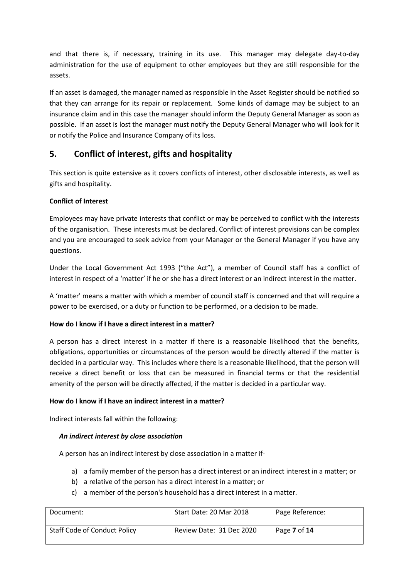and that there is, if necessary, training in its use. This manager may delegate day-to-day administration for the use of equipment to other employees but they are still responsible for the assets.

If an asset is damaged, the manager named as responsible in the Asset Register should be notified so that they can arrange for its repair or replacement. Some kinds of damage may be subject to an insurance claim and in this case the manager should inform the Deputy General Manager as soon as possible. If an asset is lost the manager must notify the Deputy General Manager who will look for it or notify the Police and Insurance Company of its loss.

# **5. Conflict of interest, gifts and hospitality**

This section is quite extensive as it covers conflicts of interest, other disclosable interests, as well as gifts and hospitality.

## **Conflict of Interest**

Employees may have private interests that conflict or may be perceived to conflict with the interests of the organisation. These interests must be declared. Conflict of interest provisions can be complex and you are encouraged to seek advice from your Manager or the General Manager if you have any questions.

Under the Local Government Act 1993 ("the Act"), a member of Council staff has a conflict of interest in respect of a 'matter' if he or she has a direct interest or an indirect interest in the matter.

A 'matter' means a matter with which a member of council staff is concerned and that will require a power to be exercised, or a duty or function to be performed, or a decision to be made.

## **How do I know if I have a direct interest in a matter?**

A person has a direct interest in a matter if there is a reasonable likelihood that the benefits, obligations, opportunities or circumstances of the person would be directly altered if the matter is decided in a particular way. This includes where there is a reasonable likelihood, that the person will receive a direct benefit or loss that can be measured in financial terms or that the residential amenity of the person will be directly affected, if the matter is decided in a particular way.

#### **How do I know if I have an indirect interest in a matter?**

Indirect interests fall within the following:

#### *An indirect interest by close association*

A person has an indirect interest by close association in a matter if-

- a) a family member of the person has a direct interest or an indirect interest in a matter; or
- b) a relative of the person has a direct interest in a matter; or
- c) a member of the person's household has a direct interest in a matter.

| Document:                           | Start Date: 20 Mar 2018  | Page Reference: |
|-------------------------------------|--------------------------|-----------------|
| <b>Staff Code of Conduct Policy</b> | Review Date: 31 Dec 2020 | Page 7 of 14    |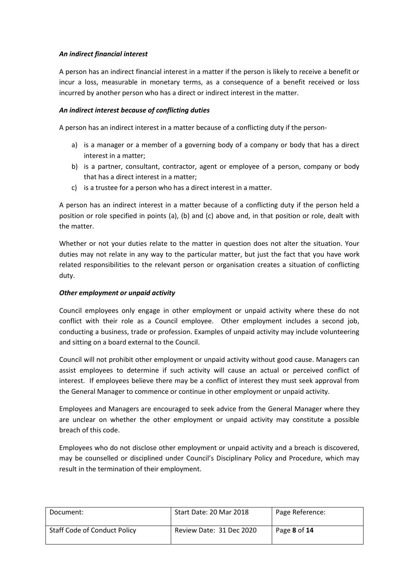#### *An indirect financial interest*

A person has an indirect financial interest in a matter if the person is likely to receive a benefit or incur a loss, measurable in monetary terms, as a consequence of a benefit received or loss incurred by another person who has a direct or indirect interest in the matter.

#### *An indirect interest because of conflicting duties*

A person has an indirect interest in a matter because of a conflicting duty if the person-

- a) is a manager or a member of a governing body of a company or body that has a direct interest in a matter;
- b) is a partner, consultant, contractor, agent or employee of a person, company or body that has a direct interest in a matter;
- c) is a trustee for a person who has a direct interest in a matter.

A person has an indirect interest in a matter because of a conflicting duty if the person held a position or role specified in points (a), (b) and (c) above and, in that position or role, dealt with the matter.

Whether or not your duties relate to the matter in question does not alter the situation. Your duties may not relate in any way to the particular matter, but just the fact that you have work related responsibilities to the relevant person or organisation creates a situation of conflicting duty.

#### *Other employment or unpaid activity*

Council employees only engage in other employment or unpaid activity where these do not conflict with their role as a Council employee. Other employment includes a second job, conducting a business, trade or profession. Examples of unpaid activity may include volunteering and sitting on a board external to the Council.

Council will not prohibit other employment or unpaid activity without good cause. Managers can assist employees to determine if such activity will cause an actual or perceived conflict of interest. If employees believe there may be a conflict of interest they must seek approval from the General Manager to commence or continue in other employment or unpaid activity.

Employees and Managers are encouraged to seek advice from the General Manager where they are unclear on whether the other employment or unpaid activity may constitute a possible breach of this code.

Employees who do not disclose other employment or unpaid activity and a breach is discovered, may be counselled or disciplined under Council's Disciplinary Policy and Procedure, which may result in the termination of their employment.

| Document:                           | Start Date: 20 Mar 2018  | Page Reference:            |
|-------------------------------------|--------------------------|----------------------------|
| <b>Staff Code of Conduct Policy</b> | Review Date: 31 Dec 2020 | Page <b>8</b> of <b>14</b> |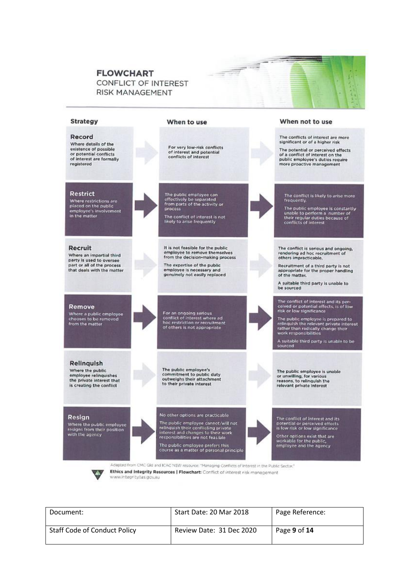#### **FLOWCHART** CONFLICT OF INTEREST **RISK MANAGEMENT**



ar<br>T

| Document:                           | Start Date: 20 Mar 2018  | Page Reference: |
|-------------------------------------|--------------------------|-----------------|
| <b>Staff Code of Conduct Policy</b> | Review Date: 31 Dec 2020 | Page 9 of 14    |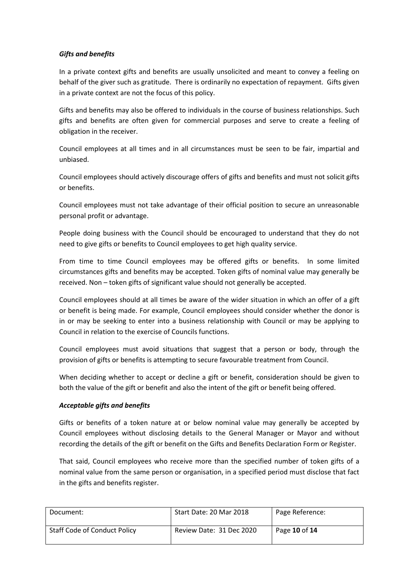#### *Gifts and benefits*

In a private context gifts and benefits are usually unsolicited and meant to convey a feeling on behalf of the giver such as gratitude. There is ordinarily no expectation of repayment. Gifts given in a private context are not the focus of this policy.

Gifts and benefits may also be offered to individuals in the course of business relationships. Such gifts and benefits are often given for commercial purposes and serve to create a feeling of obligation in the receiver.

Council employees at all times and in all circumstances must be seen to be fair, impartial and unbiased.

Council employees should actively discourage offers of gifts and benefits and must not solicit gifts or benefits.

Council employees must not take advantage of their official position to secure an unreasonable personal profit or advantage.

People doing business with the Council should be encouraged to understand that they do not need to give gifts or benefits to Council employees to get high quality service.

From time to time Council employees may be offered gifts or benefits. In some limited circumstances gifts and benefits may be accepted. Token gifts of nominal value may generally be received. Non – token gifts of significant value should not generally be accepted.

Council employees should at all times be aware of the wider situation in which an offer of a gift or benefit is being made. For example, Council employees should consider whether the donor is in or may be seeking to enter into a business relationship with Council or may be applying to Council in relation to the exercise of Councils functions.

Council employees must avoid situations that suggest that a person or body, through the provision of gifts or benefits is attempting to secure favourable treatment from Council.

When deciding whether to accept or decline a gift or benefit, consideration should be given to both the value of the gift or benefit and also the intent of the gift or benefit being offered.

#### *Acceptable gifts and benefits*

Gifts or benefits of a token nature at or below nominal value may generally be accepted by Council employees without disclosing details to the General Manager or Mayor and without recording the details of the gift or benefit on the Gifts and Benefits Declaration Form or Register.

That said, Council employees who receive more than the specified number of token gifts of a nominal value from the same person or organisation, in a specified period must disclose that fact in the gifts and benefits register.

| Document:                           | Start Date: 20 Mar 2018  | Page Reference: |
|-------------------------------------|--------------------------|-----------------|
| <b>Staff Code of Conduct Policy</b> | Review Date: 31 Dec 2020 | Page 10 of 14   |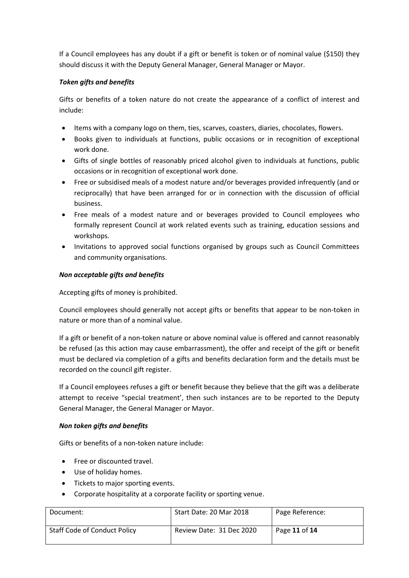If a Council employees has any doubt if a gift or benefit is token or of nominal value (\$150) they should discuss it with the Deputy General Manager, General Manager or Mayor.

#### *Token gifts and benefits*

Gifts or benefits of a token nature do not create the appearance of a conflict of interest and include:

- Items with a company logo on them, ties, scarves, coasters, diaries, chocolates, flowers.
- Books given to individuals at functions, public occasions or in recognition of exceptional work done.
- Gifts of single bottles of reasonably priced alcohol given to individuals at functions, public occasions or in recognition of exceptional work done.
- Free or subsidised meals of a modest nature and/or beverages provided infrequently (and or reciprocally) that have been arranged for or in connection with the discussion of official business.
- Free meals of a modest nature and or beverages provided to Council employees who formally represent Council at work related events such as training, education sessions and workshops.
- Invitations to approved social functions organised by groups such as Council Committees and community organisations.

#### *Non acceptable gifts and benefits*

Accepting gifts of money is prohibited.

Council employees should generally not accept gifts or benefits that appear to be non-token in nature or more than of a nominal value.

If a gift or benefit of a non-token nature or above nominal value is offered and cannot reasonably be refused (as this action may cause embarrassment), the offer and receipt of the gift or benefit must be declared via completion of a gifts and benefits declaration form and the details must be recorded on the council gift register.

If a Council employees refuses a gift or benefit because they believe that the gift was a deliberate attempt to receive "special treatment', then such instances are to be reported to the Deputy General Manager, the General Manager or Mayor.

#### *Non token gifts and benefits*

Gifts or benefits of a non-token nature include:

- Free or discounted travel.
- Use of holiday homes.
- Tickets to major sporting events.
- Corporate hospitality at a corporate facility or sporting venue.

| Document:                           | Start Date: 20 Mar 2018  | Page Reference: |
|-------------------------------------|--------------------------|-----------------|
| <b>Staff Code of Conduct Policy</b> | Review Date: 31 Dec 2020 | Page 11 of 14   |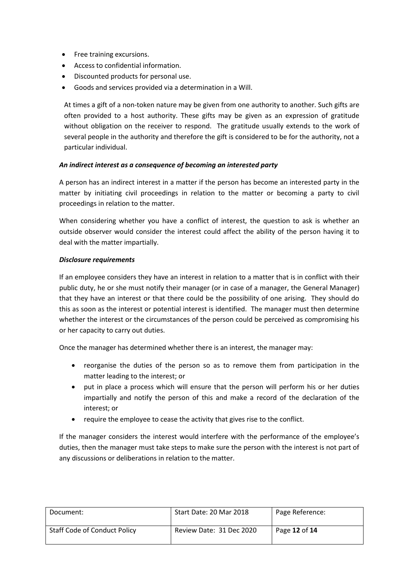- Free training excursions.
- Access to confidential information.
- Discounted products for personal use.
- Goods and services provided via a determination in a Will.

At times a gift of a non-token nature may be given from one authority to another. Such gifts are often provided to a host authority. These gifts may be given as an expression of gratitude without obligation on the receiver to respond. The gratitude usually extends to the work of several people in the authority and therefore the gift is considered to be for the authority, not a particular individual.

#### *An indirect interest as a consequence of becoming an interested party*

A person has an indirect interest in a matter if the person has become an interested party in the matter by initiating civil proceedings in relation to the matter or becoming a party to civil proceedings in relation to the matter.

When considering whether you have a conflict of interest, the question to ask is whether an outside observer would consider the interest could affect the ability of the person having it to deal with the matter impartially.

#### *Disclosure requirements*

If an employee considers they have an interest in relation to a matter that is in conflict with their public duty, he or she must notify their manager (or in case of a manager, the General Manager) that they have an interest or that there could be the possibility of one arising. They should do this as soon as the interest or potential interest is identified. The manager must then determine whether the interest or the circumstances of the person could be perceived as compromising his or her capacity to carry out duties.

Once the manager has determined whether there is an interest, the manager may:

- reorganise the duties of the person so as to remove them from participation in the matter leading to the interest; or
- put in place a process which will ensure that the person will perform his or her duties impartially and notify the person of this and make a record of the declaration of the interest; or
- require the employee to cease the activity that gives rise to the conflict.

If the manager considers the interest would interfere with the performance of the employee's duties, then the manager must take steps to make sure the person with the interest is not part of any discussions or deliberations in relation to the matter.

| Document:                           | Start Date: 20 Mar 2018  | Page Reference: |
|-------------------------------------|--------------------------|-----------------|
| <b>Staff Code of Conduct Policy</b> | Review Date: 31 Dec 2020 | Page 12 of 14   |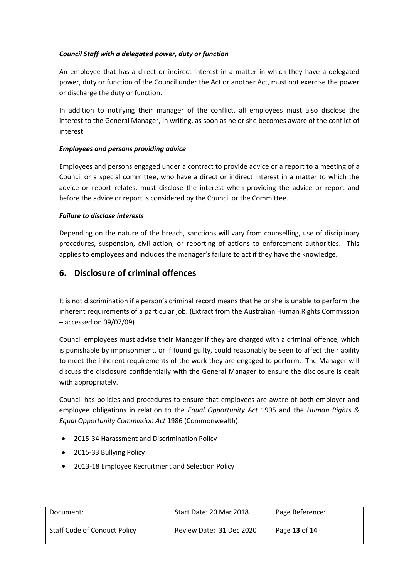### *Council Staff with a delegated power, duty or function*

An employee that has a direct or indirect interest in a matter in which they have a delegated power, duty or function of the Council under the Act or another Act, must not exercise the power or discharge the duty or function.

In addition to notifying their manager of the conflict, all employees must also disclose the interest to the General Manager, in writing, as soon as he or she becomes aware of the conflict of interest.

#### *Employees and persons providing advice*

Employees and persons engaged under a contract to provide advice or a report to a meeting of a Council or a special committee, who have a direct or indirect interest in a matter to which the advice or report relates, must disclose the interest when providing the advice or report and before the advice or report is considered by the Council or the Committee.

### *Failure to disclose interests*

Depending on the nature of the breach, sanctions will vary from counselling, use of disciplinary procedures, suspension, civil action, or reporting of actions to enforcement authorities. This applies to employees and includes the manager's failure to act if they have the knowledge.

## **6. Disclosure of criminal offences**

It is not discrimination if a person's criminal record means that he or she is unable to perform the inherent requirements of a particular job. (Extract from the Australian Human Rights Commission – accessed on 09/07/09)

Council employees must advise their Manager if they are charged with a criminal offence, which is punishable by imprisonment, or if found guilty, could reasonably be seen to affect their ability to meet the inherent requirements of the work they are engaged to perform. The Manager will discuss the disclosure confidentially with the General Manager to ensure the disclosure is dealt with appropriately.

Council has policies and procedures to ensure that employees are aware of both employer and employee obligations in relation to the *Equal Opportunity Act* 1995 and the *Human Rights & Equal Opportunity Commission Act* 1986 (Commonwealth):

- 2015-34 Harassment and Discrimination Policy
- 2015-33 Bullying Policy
- 2013-18 Employee Recruitment and Selection Policy

| Document:                           | Start Date: 20 Mar 2018  | Page Reference: |
|-------------------------------------|--------------------------|-----------------|
| <b>Staff Code of Conduct Policy</b> | Review Date: 31 Dec 2020 | Page 13 of 14   |